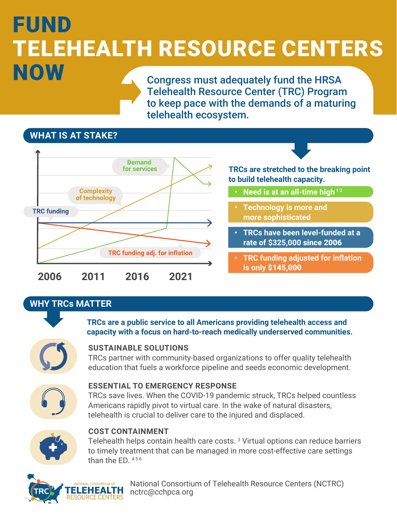# FUND TELEHEALTH RESOURCE CENTERS NOW

Congress must adequately fund the HRSA Telehealth Resource Center (TRC) Program to keep pace with the demands of a maturing telehealth ecosystem.

## **WHAT IS AT STAKE?**



### **WHY TRCs MATTER**

**TRCs are a public service to all Americans providing telehealth access and capacity with a focus on hard-to-reach medically underserved communities.**



#### **SUSTAINABLE SOLUTIONS**

TRCs partner with community-based organizations to offer quality telehealth education that fuels a workforce pipeline and seeds economic development.



#### **ESSENTIAL TO EMERGENCY RESPONSE**

TRCs save lives. When the COVID-19 pandemic struck, TRCs helped countless Americans rapidly pivot to virtual care. In the wake of natural disasters, telehealth is crucial to deliver care to the injured and displaced.



#### **COST CONTAINMENT**

Telehealth helps contain health care costs.<sup>3</sup> Virtual options can reduce barriers to timely treatment that can be managed in more cost-effective care settings than the ED.  $456$ 



National Consortium of Telehealth Resource Centers (NCTRC) nctrc@cchpca.org

**TRCs are stretched to the breaking point to build telehealth capacity.**

- **•** Need is at an all-time high<sup>12</sup>
- **• Technology is more and more sophisticated**
- **• TRCs have been level-funded at a rate of \$325,000** since 2006
- **• TRC funding adjusted for inflation is only** \$145,000